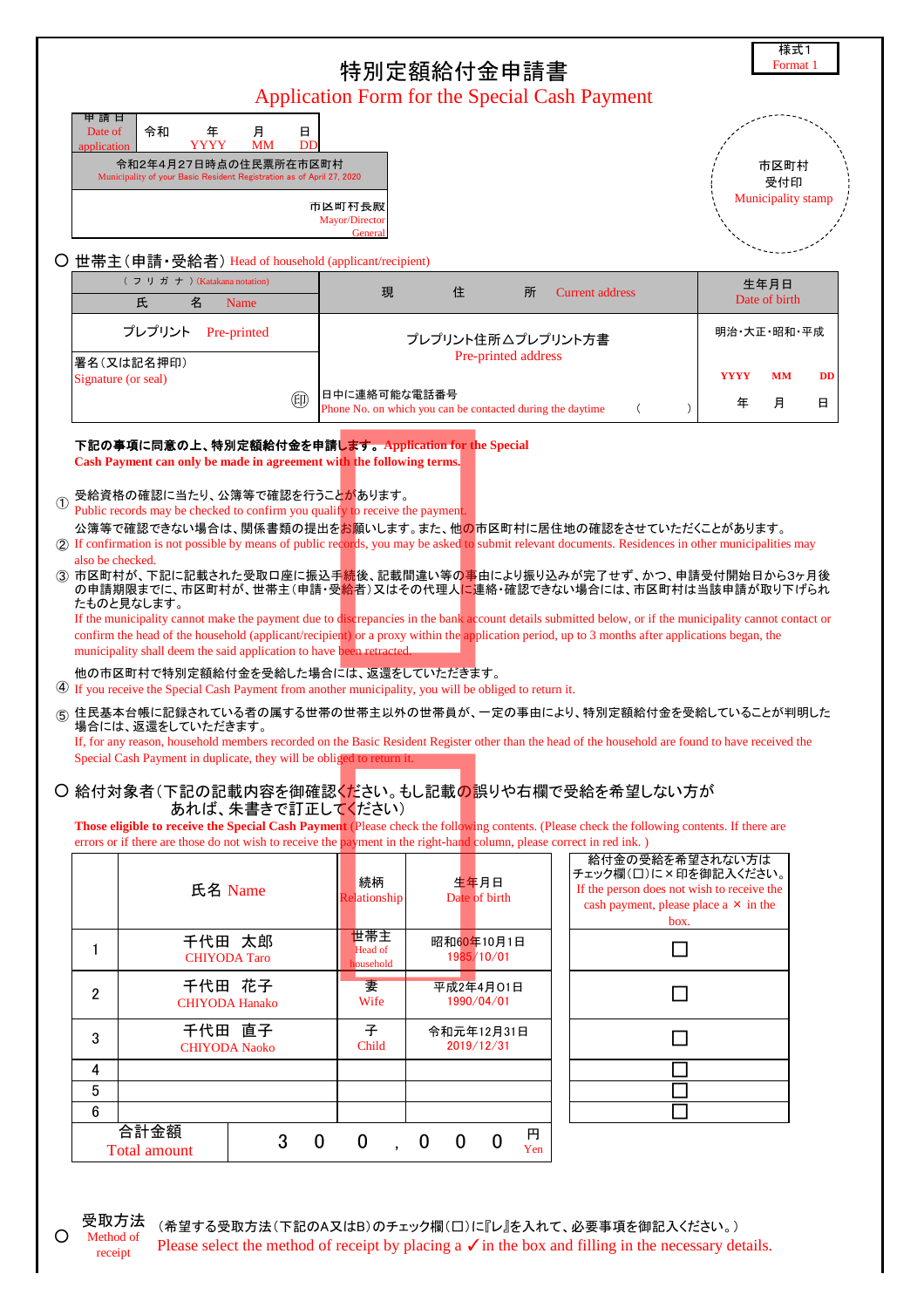|                                   |                                                                                                                                                                                                                                                                                                                                                                                                                                                                                                                                                                                                                                                                                                                                                                                                                                                                                                                                                                                                                                                                                                                                                                                                                                                                                                                                                                                                                                                                                                                                                                                   |                                                | 特別定額給付金申請書<br><b>Application Form for the Special Cash Payment</b>                                     |                                                                                                                                               | 様式1<br>Format <sub>1</sub>                                          |  |  |
|-----------------------------------|-----------------------------------------------------------------------------------------------------------------------------------------------------------------------------------------------------------------------------------------------------------------------------------------------------------------------------------------------------------------------------------------------------------------------------------------------------------------------------------------------------------------------------------------------------------------------------------------------------------------------------------------------------------------------------------------------------------------------------------------------------------------------------------------------------------------------------------------------------------------------------------------------------------------------------------------------------------------------------------------------------------------------------------------------------------------------------------------------------------------------------------------------------------------------------------------------------------------------------------------------------------------------------------------------------------------------------------------------------------------------------------------------------------------------------------------------------------------------------------------------------------------------------------------------------------------------------------|------------------------------------------------|--------------------------------------------------------------------------------------------------------|-----------------------------------------------------------------------------------------------------------------------------------------------|---------------------------------------------------------------------|--|--|
| 甲 請 日<br>Date of<br>application   | 令和<br>月<br>年<br>YYYY<br><b>MM</b><br>令和2年4月27日時点の住民票所在市区町村<br>Municipality of your Basic Resident Registration as of April 27, 2020                                                                                                                                                                                                                                                                                                                                                                                                                                                                                                                                                                                                                                                                                                                                                                                                                                                                                                                                                                                                                                                                                                                                                                                                                                                                                                                                                                                                                                               | 日<br>DD<br>市区町村長殿<br>Mayor/Director<br>General |                                                                                                        |                                                                                                                                               | 市区町村<br>受付印<br>Municipality stamp                                   |  |  |
|                                   | ○ 世帯主(申請・受給者) Head of household (applicant/recipient)<br>(フリガナ) (Katakana notation)<br>氏<br>名<br>Name                                                                                                                                                                                                                                                                                                                                                                                                                                                                                                                                                                                                                                                                                                                                                                                                                                                                                                                                                                                                                                                                                                                                                                                                                                                                                                                                                                                                                                                                             | 現                                              | 住<br>所                                                                                                 | <b>Current address</b>                                                                                                                        | 生年月日<br>Date of birth                                               |  |  |
|                                   | プレプリント<br>Pre-printed<br>署名(又は記名押印)<br>Signature (or seal)<br>甸                                                                                                                                                                                                                                                                                                                                                                                                                                                                                                                                                                                                                                                                                                                                                                                                                                                                                                                                                                                                                                                                                                                                                                                                                                                                                                                                                                                                                                                                                                                   | 日中に連絡可能な電話番号                                   | プレプリント住所△プレプリント方書<br>Pre-printed address<br>Phone No. on which you can be contacted during the daytime | $\left($<br>$\lambda$                                                                                                                         | 明治·大正·昭和·平成<br><b>YYYY</b><br><b>MM</b><br><b>DD</b><br>年<br>月<br>日 |  |  |
| $\circled{0}$<br>also be checked. | 下記の事項に同意の上、特別定額給付金を申請します。Application for the Special<br>Cash Payment can only be made in agreement with the following terms.<br>受給資格の確認に当たり、公簿等で確認を行うことがあります。<br>Public records may be checked to confirm you qualify to receive the payment.<br>公簿等で確認できない場合は、関係書類の提出をお願いします。また、他の市区町村に居住地の確認をさせていただくことがあります。<br>2) If confirmation is not possible by means of public records, you may be asked to submit relevant documents. Residences in other municipalities may<br>(3) 市区町村が、下記に記載された受取口座に振込手続後、記載間違い等の事由により振り込みが完了せず、かつ、申請受付開始日から3ヶ月後<br>の申請期限までに、市区町村が、世帯主(申請・受給者)又はその代理人に連絡・確認できない場合には、市区町村は当該申請が取り下げられ<br>たものと見なします。<br>If the municipality cannot make the payment due to discrepancies in the bank account details submitted below, or if the municipality cannot contact or<br>confirm the head of the household (applicant/recipient) or a proxy within the application period, up to 3 months after applications began, the<br>municipality shall deem the said application to have been retracted.<br>他の市区町村で特別定額給付金を受給した場合には、返還をしていただきます。<br>4) If you receive the Special Cash Payment from another municipality, you will be obliged to return it.<br><sub>(5)</sub> 住民基本台帳に記録されている者の属する世帯の世帯主以外の世帯員が、一定の事由により、特別定額給付金を受給していることが判明した<br>場合には、返還をしていただきます。<br>If, for any reason, household members recorded on the Basic Resident Register other than the head of the household are found to have received the<br>Special Cash Payment in duplicate, they will be obliged to return it.<br>○ 給付対象者(下記の記載内容を御確認ください。もし記載の誤りや右欄で受給を希望しない方が<br>あれば、朱書きで訂正してください) |                                                |                                                                                                        |                                                                                                                                               |                                                                     |  |  |
|                                   | Those eligible to receive the Special Cash Payment (Please check the following contents. (Please check the following contents. If there are<br>errors or if there are those do not wish to receive the payment in the right-hand column, please correct in red ink.)<br>氏名 Name<br>千代田 太郎                                                                                                                                                                                                                                                                                                                                                                                                                                                                                                                                                                                                                                                                                                                                                                                                                                                                                                                                                                                                                                                                                                                                                                                                                                                                                         | 続柄<br>Relationship<br>世帯主                      | 生年月日<br>Date of birth                                                                                  | 給付金の受給を希望されない方は<br>チェック欄(口)に×印を御記入ください。<br>If the person does not wish to receive the<br>cash payment, please place a $\times$ in the<br>box. |                                                                     |  |  |
| 1<br>2                            | <b>CHIYODA</b> Taro<br>千代田 花子<br><b>CHIYODA Hanako</b>                                                                                                                                                                                                                                                                                                                                                                                                                                                                                                                                                                                                                                                                                                                                                                                                                                                                                                                                                                                                                                                                                                                                                                                                                                                                                                                                                                                                                                                                                                                            | Head of<br>household<br>妻<br>Wife              | 昭和60年10月1日<br>1985/10/01<br>平成2年4月01日<br>1990/04/01                                                    |                                                                                                                                               |                                                                     |  |  |
| 3<br>4<br>5<br>6                  | 千代田 直子<br><b>CHIYODA Naoko</b>                                                                                                                                                                                                                                                                                                                                                                                                                                                                                                                                                                                                                                                                                                                                                                                                                                                                                                                                                                                                                                                                                                                                                                                                                                                                                                                                                                                                                                                                                                                                                    | 子<br>Child                                     | 令和元年12月31日<br>2019/12/31                                                                               |                                                                                                                                               |                                                                     |  |  |
|                                   | 合計金額<br>3<br><b>Total amount</b>                                                                                                                                                                                                                                                                                                                                                                                                                                                                                                                                                                                                                                                                                                                                                                                                                                                                                                                                                                                                                                                                                                                                                                                                                                                                                                                                                                                                                                                                                                                                                  | $\mathbf 0$<br>$\mathbf 0$                     | 円<br>$\bf{0}$<br>$\mathbf 0$<br>$\mathbf 0$<br>Yen                                                     |                                                                                                                                               |                                                                     |  |  |

 $\circ$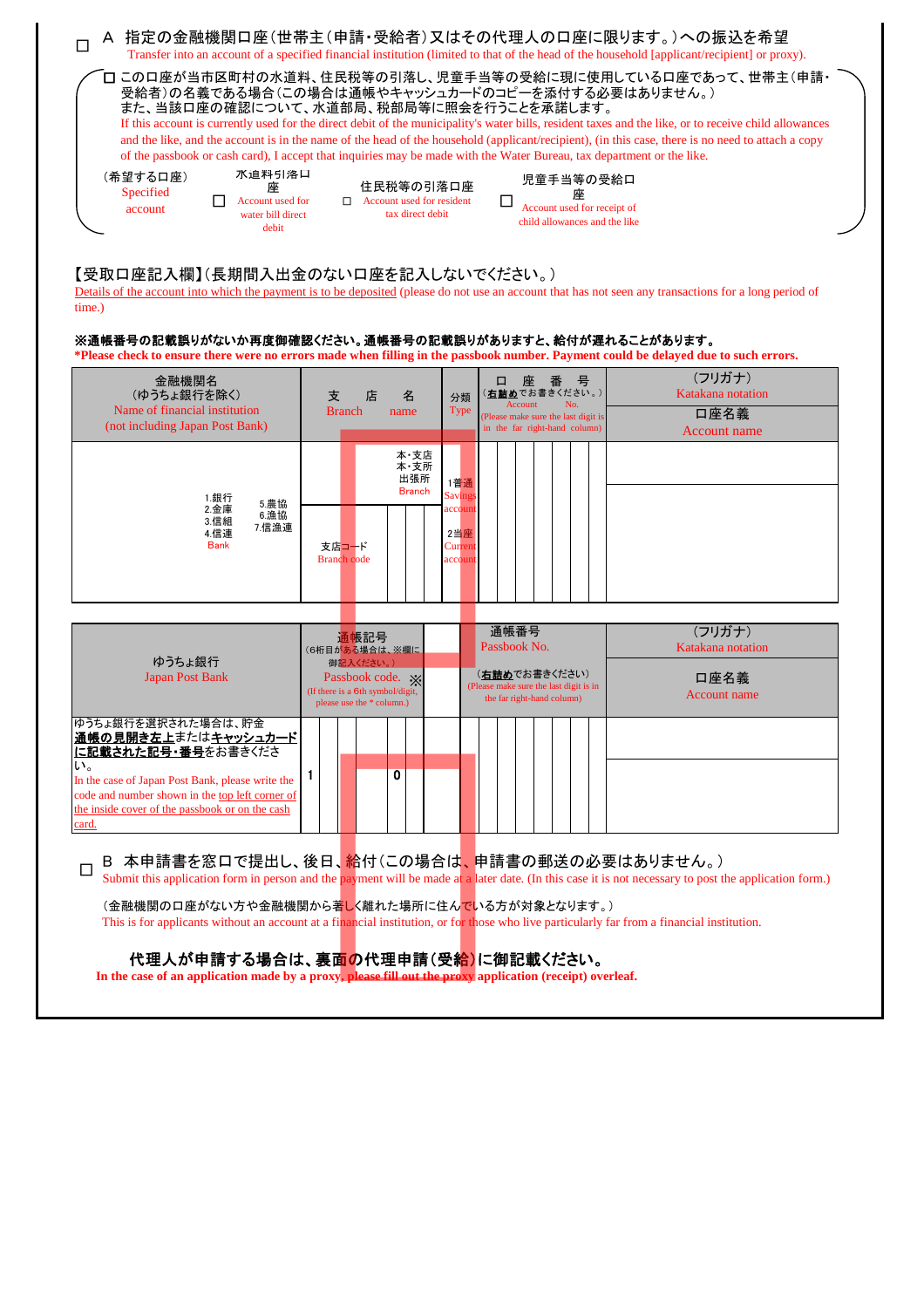| □                                                                                                                                                                                                                                                                                                                                                                                                       |                                                                   |                                                                                                | A 指定の金融機関口座(世帯主(申請・受給者)又はその代理人の口座に限ります。)への振込を希望<br>Transfer into an account of a specified financial institution (limited to that of the head of the household [applicant/recipient] or proxy).                                                                                                                                                                         |  |  |  |  |  |  |
|---------------------------------------------------------------------------------------------------------------------------------------------------------------------------------------------------------------------------------------------------------------------------------------------------------------------------------------------------------------------------------------------------------|-------------------------------------------------------------------|------------------------------------------------------------------------------------------------|-------------------------------------------------------------------------------------------------------------------------------------------------------------------------------------------------------------------------------------------------------------------------------------------------------------------------------------------------------------------------|--|--|--|--|--|--|
| 受給者)の名義である場合(この場合は通帳やキャッシュカードのコピーを添付する必要はありません。)<br>また、当該口座の確認について、水道部局、税部局等に照会を行うことを承諾します。<br>of the passbook or cash card), I accept that inquiries may be made with the Water Bureau, tax department or the like.<br>水道料引洛口<br>(希望する口座)<br>座<br>Specified<br>Account used for<br>account<br>water bill direct<br>debit                                                                               | 住民税等の引落口座<br>$\Box$ Account used for resident<br>tax direct debit | 児童手当等の受給口<br>座<br>П<br>Account used for receipt of<br>child allowances and the like            | □ この口座が当市区町村の水道料、住民税等の引落し、児童手当等の受給に現に使用している口座であって、世帯主(申請・<br>If this account is currently used for the direct debit of the municipality's water bills, resident taxes and the like, or to receive child allowances<br>and the like, and the account is in the name of the head of the household (applicant/recipient), (in this case, there is no need to attach a copy |  |  |  |  |  |  |
| 【受取口座記入欄】(長期間入出金のない口座を記入しないでください。)<br>Details of the account into which the payment is to be deposited (please do not use an account that has not seen any transactions for a long period of<br>time.)<br>※通帳番号の記載誤りがないか再度御確認ください。通帳番号の記載誤りがありますと、給付が遅れることがあります。<br>*Please check to ensure there were no errors made when filling in the passbook number. Payment could be delayed due to such errors. |                                                                   |                                                                                                |                                                                                                                                                                                                                                                                                                                                                                         |  |  |  |  |  |  |
| 金融機関名<br>(ゆうちょ銀行を除く)                                                                                                                                                                                                                                                                                                                                                                                    | 支<br>店<br>名                                                       | 座番<br>一号<br>( <u>右 詰め</u> でお書きください。)<br>分類                                                     | (フリガナ)<br>Katakana notation                                                                                                                                                                                                                                                                                                                                             |  |  |  |  |  |  |
| Name of financial institution<br>(not including Japan Post Bank)                                                                                                                                                                                                                                                                                                                                        | <b>Branch</b><br>name                                             | Account<br>No.<br>Type<br>(Please make sure the last digit is<br>in the far right-hand column) | 口座名義<br>Account name                                                                                                                                                                                                                                                                                                                                                    |  |  |  |  |  |  |
| 1.銀行                                                                                                                                                                                                                                                                                                                                                                                                    | 本·支店<br>本·支所<br>出張所<br><b>Branch</b>                              | 1普通<br><b>Savings</b>                                                                          |                                                                                                                                                                                                                                                                                                                                                                         |  |  |  |  |  |  |
| 5.農協<br>2.金庫<br>6.漁協<br>3.信組<br>7.信漁連<br>4.信連<br><b>Bank</b>                                                                                                                                                                                                                                                                                                                                            | 支店コード<br><b>Branch</b> code                                       | account<br>2当座<br>Current<br>account                                                           |                                                                                                                                                                                                                                                                                                                                                                         |  |  |  |  |  |  |
| ゆうちょ銀行<br><b>Japan Post Bank</b>                                                                                                                                                                                                                                                                                                                                                                        | 通帳記号<br>(6桁目がある場合は、※欄に<br>御記入ください。)<br>Passbook code. *           | 通帳番号<br>Passbook No.<br>( <b>右詰め</b> でお書きください)                                                 | (フリガナ)<br>Katakana notation<br>口座名義                                                                                                                                                                                                                                                                                                                                     |  |  |  |  |  |  |

|                                                                                                                                                                                                                                                  | (If there is a 6th symbol/digit,<br>please use the * column.) |  |  |  |  | The reason in the sure the rast digit is in<br>the far right-hand column) |  |  |  |  |  |  |  | Account name |  |  |
|--------------------------------------------------------------------------------------------------------------------------------------------------------------------------------------------------------------------------------------------------|---------------------------------------------------------------|--|--|--|--|---------------------------------------------------------------------------|--|--|--|--|--|--|--|--------------|--|--|
| ゆうちょ銀行を選択された場合は、貯金<br>通帳の見開き左上またはキャッシュカード <br>に記載された記号・番号をお書きくださ<br>い。<br>In the case of Japan Post Bank, please write the<br>code and number shown in the top left corner of<br>the inside cover of the passbook or on the cash<br><u>card.</u> |                                                               |  |  |  |  |                                                                           |  |  |  |  |  |  |  |              |  |  |

## □ B 本申請書を窓口で提出し、後日、給付(この場合は、申請書の郵送の必要はありません。)<br>□ Submit this application farm in parago and the narmont will be made at a later date. On this ages it is not paragogy: to aget f

Submit this application form in person and the payment will be made at a later date. (In this case it is not necessary to post the application form.)

(金融機関の口座がない方や金融機関から著しく離れた場所に住んでいる方が対象となります。) This is for applicants without an account at a financial institution, or for those who live particularly far from a financial institution.

## 代理人が申請する場合は、裏面の代理申請(受給)に御記載ください。

**In the case of an application made by a proxy, please fill out the proxy application (receipt) overleaf.**